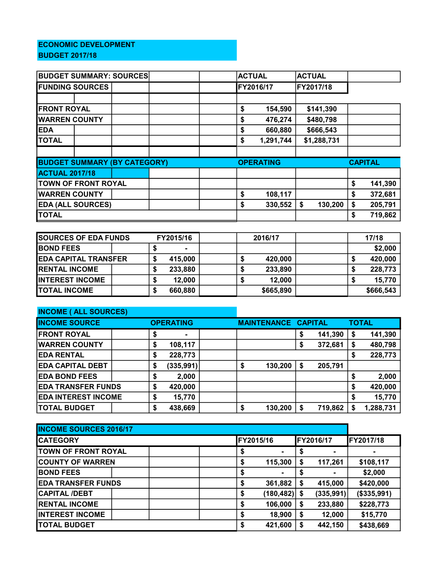## ECONOMIC DEVELOPMENT BUDGET 2017/18

| <b>BUDGET SUMMARY: SOURCES</b>      |  |  |    |         | <b>ACTUAL</b>    |           | <b>ACTUAL</b> |                |         |         |
|-------------------------------------|--|--|----|---------|------------------|-----------|---------------|----------------|---------|---------|
| <b>FUNDING SOURCES</b>              |  |  |    |         | FY2016/17        |           | FY2017/18     |                |         |         |
|                                     |  |  |    |         |                  |           |               |                |         |         |
| <b>FRONT ROYAL</b>                  |  |  |    |         | \$               | 154,590   |               | \$141,390      |         |         |
| <b>WARREN COUNTY</b>                |  |  | \$ | 476,274 |                  | \$480,798 |               |                |         |         |
| <b>EDA</b>                          |  |  |    |         | \$               | 660,880   |               | \$666,543      |         |         |
| <b>TOTAL</b>                        |  |  |    |         | \$               | 1,291,744 |               | \$1,288,731    |         |         |
|                                     |  |  |    |         |                  |           |               |                |         |         |
| <b>BUDGET SUMMARY (BY CATEGORY)</b> |  |  |    |         | <b>OPERATING</b> |           |               | <b>CAPITAL</b> |         |         |
| <b>ACTUAL 2017/18</b>               |  |  |    |         |                  |           |               |                |         |         |
| <b>TOWN OF FRONT ROYAL</b>          |  |  |    |         |                  |           | \$            | 141,390        |         |         |
| <b>WARREN COUNTY</b>                |  |  |    |         | \$               | 108,117   |               |                | \$      | 372,681 |
| <b>EDA (ALL SOURCES)</b>            |  |  |    | \$      | 330,552          | \$        | 130,200       | S              | 205,791 |         |
| <b>TOTAL</b>                        |  |  |    |         |                  |           |               |                | S       | 719,862 |

| <b>SOURCES OF EDA FUNDS</b> |  | FY2015/16 |         | 2016/17 |  | 17/18     |  |           |
|-----------------------------|--|-----------|---------|---------|--|-----------|--|-----------|
| <b>BOND FEES</b>            |  |           |         |         |  |           |  | \$2,000   |
| <b>EDA CAPITAL TRANSFER</b> |  |           | 415,000 |         |  | 420,000   |  | 420,000   |
| <b>RENTAL INCOME</b>        |  |           | 233,880 |         |  | 233,890   |  | 228,773   |
| <b>INTEREST INCOME</b>      |  |           | 12,000  |         |  | 12,000    |  | 15,770    |
| <b>TOTAL INCOME</b>         |  |           | 660,880 |         |  | \$665,890 |  | \$666,543 |

| <b>INCOME ( ALL SOURCES)</b> |    |                  |  |                            |         |    |         |              |           |
|------------------------------|----|------------------|--|----------------------------|---------|----|---------|--------------|-----------|
| <b>INCOME SOURCE</b>         |    | <b>OPERATING</b> |  | <b>MAINTENANCE CAPITAL</b> |         |    |         | <b>TOTAL</b> |           |
| <b>FRONT ROYAL</b>           | \$ | $\blacksquare$   |  |                            |         | \$ | 141,390 | \$           | 141,390   |
| <b>WARREN COUNTY</b>         | \$ | 108,117          |  |                            |         | \$ | 372,681 | S            | 480,798   |
| <b>EDA RENTAL</b>            | \$ | 228,773          |  |                            |         |    |         | S            | 228,773   |
| <b>EDA CAPITAL DEBT</b>      | \$ | (335, 991)       |  | \$                         | 130,200 | \$ | 205,791 |              |           |
| <b>EDA BOND FEES</b>         | \$ | 2,000            |  |                            |         |    |         | S            | 2,000     |
| <b>EDA TRANSFER FUNDS</b>    |    | 420,000          |  |                            |         |    |         |              | 420,000   |
| <b>EDA INTEREST INCOME</b>   |    | 15,770           |  |                            |         |    |         |              | 15,770    |
| <b>TOTAL BUDGET</b>          | \$ | 438,669          |  | \$                         | 130,200 | \$ | 719,862 |              | 1,288,731 |

| <b>INCOME SOURCES 2016/17</b> |    |                |    |                   |             |  |  |
|-------------------------------|----|----------------|----|-------------------|-------------|--|--|
| <b>ICATEGORY</b>              |    | FY2015/16      |    | <b>IFY2016/17</b> | FY2017/18   |  |  |
| <b>TOWN OF FRONT ROYAL</b>    | C  | $\blacksquare$ | S  |                   |             |  |  |
| <b>COUNTY OF WARREN</b>       | \$ | 115,300        | \$ | 117,261           | \$108,117   |  |  |
| <b>BOND FEES</b>              | \$ | ۰              |    |                   | \$2,000     |  |  |
| <b>EDA TRANSFER FUNDS</b>     | \$ | 361,882        | \$ | 415,000           | \$420,000   |  |  |
| <b>CAPITAL /DEBT</b>          | \$ | (180, 482)     | S  | (335, 991)        | (\$335,991) |  |  |
| <b>IRENTAL INCOME</b>         | \$ | 106,000        | S  | 233,880           | \$228,773   |  |  |
| <b>INTEREST INCOME</b>        | \$ | 18,900         | \$ | 12,000            | \$15,770    |  |  |
| <b>TOTAL BUDGET</b>           | S  | 421,600        | S  | 442,150           | \$438,669   |  |  |